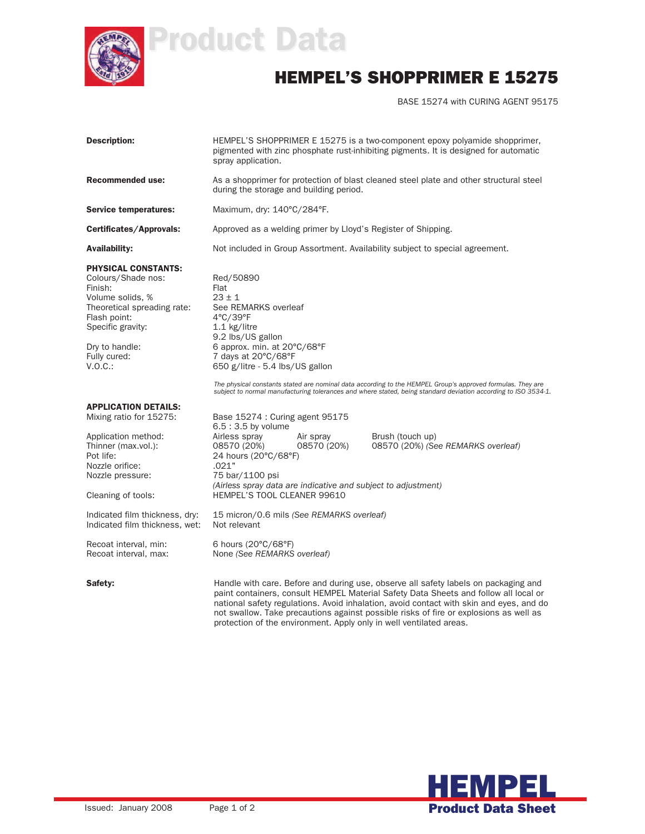

## Product Data

## HEMPEL'S SHOPPRIMER E 15275

BASE 15274 with CURING AGENT 95175

| <b>Description:</b>                                                                                                                                                                              | HEMPEL'S SHOPPRIMER E 15275 is a two-component epoxy polyamide shopprimer,<br>pigmented with zinc phosphate rust-inhibiting pigments. It is designed for automatic<br>spray application.                                                                                                                                                                                                                                                                 |                          |                                                        |  |
|--------------------------------------------------------------------------------------------------------------------------------------------------------------------------------------------------|----------------------------------------------------------------------------------------------------------------------------------------------------------------------------------------------------------------------------------------------------------------------------------------------------------------------------------------------------------------------------------------------------------------------------------------------------------|--------------------------|--------------------------------------------------------|--|
| <b>Recommended use:</b>                                                                                                                                                                          | As a shopprimer for protection of blast cleaned steel plate and other structural steel<br>during the storage and building period.                                                                                                                                                                                                                                                                                                                        |                          |                                                        |  |
| <b>Service temperatures:</b>                                                                                                                                                                     | Maximum, dry: 140°C/284°F.                                                                                                                                                                                                                                                                                                                                                                                                                               |                          |                                                        |  |
| Certificates/Approvals:                                                                                                                                                                          | Approved as a welding primer by Lloyd's Register of Shipping.                                                                                                                                                                                                                                                                                                                                                                                            |                          |                                                        |  |
| <b>Availability:</b>                                                                                                                                                                             | Not included in Group Assortment. Availability subject to special agreement.                                                                                                                                                                                                                                                                                                                                                                             |                          |                                                        |  |
| <b>PHYSICAL CONSTANTS:</b><br>Colours/Shade nos:<br>Finish:<br>Volume solids, %<br>Theoretical spreading rate:<br>Flash point:<br>Specific gravity:<br>Dry to handle:<br>Fully cured:<br>V.O.C.: | Red/50890<br>Flat<br>$23 \pm 1$<br>See REMARKS overleaf<br>$4^{\circ}$ C/39 $^{\circ}$ F<br>$1.1$ kg/litre<br>9.2 lbs/US gallon<br>6 approx. min. at 20°C/68°F<br>7 days at 20°C/68°F<br>650 g/litre - 5.4 lbs/US gallon<br>The physical constants stated are nominal data according to the HEMPEL Group's approved formulas. They are<br>subject to normal manufacturing tolerances and where stated, being standard deviation according to ISO 3534-1. |                          |                                                        |  |
|                                                                                                                                                                                                  |                                                                                                                                                                                                                                                                                                                                                                                                                                                          |                          |                                                        |  |
| <b>APPLICATION DETAILS:</b><br>Mixing ratio for 15275:<br>Application method:<br>Thinner (max.vol.):<br>Pot life:<br>Nozzle orifice:<br>Nozzle pressure:                                         | Base 15274 : Curing agent 95175<br>$6.5:3.5$ by volume<br>Airless spray<br>08570 (20%)<br>24 hours (20°C/68°F)<br>.021"<br>75 bar/1100 psi<br>(Airless spray data are indicative and subject to adjustment)                                                                                                                                                                                                                                              | Air spray<br>08570 (20%) | Brush (touch up)<br>08570 (20%) (See REMARKS overleaf) |  |
| Cleaning of tools:                                                                                                                                                                               | HEMPEL'S TOOL CLEANER 99610                                                                                                                                                                                                                                                                                                                                                                                                                              |                          |                                                        |  |
| Indicated film thickness, dry:<br>Indicated film thickness, wet:                                                                                                                                 | 15 micron/0.6 mils (See REMARKS overleaf)<br>Not relevant                                                                                                                                                                                                                                                                                                                                                                                                |                          |                                                        |  |
| Recoat interval, min:<br>Recoat interval, max:                                                                                                                                                   | 6 hours $(20^{\circ}C/68^{\circ}F)$<br>None (See REMARKS overleaf)                                                                                                                                                                                                                                                                                                                                                                                       |                          |                                                        |  |
| Safety:                                                                                                                                                                                          | Handle with care. Before and during use, observe all safety labels on packaging and<br>paint containers, consult HEMPEL Material Safety Data Sheets and follow all local or<br>national safety regulations. Avoid inhalation, avoid contact with skin and eyes, and do                                                                                                                                                                                   |                          |                                                        |  |

not swallow. Take precautions against possible risks of fire or explosions as well as

protection of the environment. Apply only in well ventilated areas.